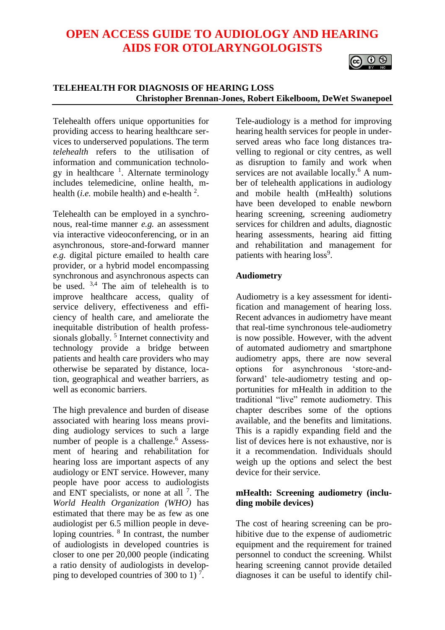## **OPEN ACCESS GUIDE TO AUDIOLOGY AND HEARING AIDS FOR OTOLARYNGOLOGISTS**

# $\circ$   $\circ$

#### **TELEHEALTH FOR DIAGNOSIS OF HEARING LOSS Christopher Brennan-Jones, Robert Eikelboom, DeWet Swanepoel**

Telehealth offers unique opportunities for providing access to hearing healthcare services to underserved populations. The term *telehealth* refers to the utilisation of information and communication technology in healthcare <sup>1</sup>. Alternate terminology includes telemedicine, online health, mhealth (*i.e.* mobile health) and e-health  $2$ .

Telehealth can be employed in a synchronous, real-time manner *e.g.* an assessment via interactive videoconferencing, or in an asynchronous, store-and-forward manner *e.g.* digital picture emailed to health care provider, or a hybrid model encompassing synchronous and asynchronous aspects can be used.  $3,4$  The aim of telehealth is to improve healthcare access, quality of service delivery, effectiveness and efficiency of health care, and ameliorate the inequitable distribution of health professsionals globally.<sup>5</sup> Internet connectivity and technology provide a bridge between patients and health care providers who may otherwise be separated by distance, location, geographical and weather barriers, as well as economic barriers.

The high prevalence and burden of disease associated with hearing loss means providing audiology services to such a large number of people is a challenge.<sup>6</sup> Assessment of hearing and rehabilitation for hearing loss are important aspects of any audiology or ENT service. However, many people have poor access to audiologists and ENT specialists, or none at all  $<sup>7</sup>$ . The</sup> *World Health Organization (WHO)* has estimated that there may be as few as one audiologist per 6.5 million people in developing countries. <sup>8</sup> In contrast, the number of audiologists in developed countries is closer to one per 20,000 people (indicating a ratio density of audiologists in developping to developed countries of 300 to 1)<sup>7</sup>.

Tele-audiology is a method for improving hearing health services for people in underserved areas who face long distances travelling to regional or city centres, as well as disruption to family and work when services are not available locally.<sup>6</sup> A number of telehealth applications in audiology and mobile health (mHealth) solutions have been developed to enable newborn hearing screening, screening audiometry services for children and adults, diagnostic hearing assessments, hearing aid fitting and rehabilitation and management for patients with hearing loss<sup>9</sup>.

#### **Audiometry**

Audiometry is a key assessment for identification and management of hearing loss. Recent advances in audiometry have meant that real-time synchronous tele-audiometry is now possible. However, with the advent of automated audiometry and smartphone audiometry apps, there are now several options for asynchronous 'store-andforward' tele-audiometry testing and opportunities for mHealth in addition to the traditional "live" remote audiometry. This chapter describes some of the options available, and the benefits and limitations. This is a rapidly expanding field and the list of devices here is not exhaustive, nor is it a recommendation. Individuals should weigh up the options and select the best device for their service.

## **mHealth: Screening audiometry (including mobile devices)**

The cost of hearing screening can be prohibitive due to the expense of audiometric equipment and the requirement for trained personnel to conduct the screening. Whilst hearing screening cannot provide detailed diagnoses it can be useful to identify chil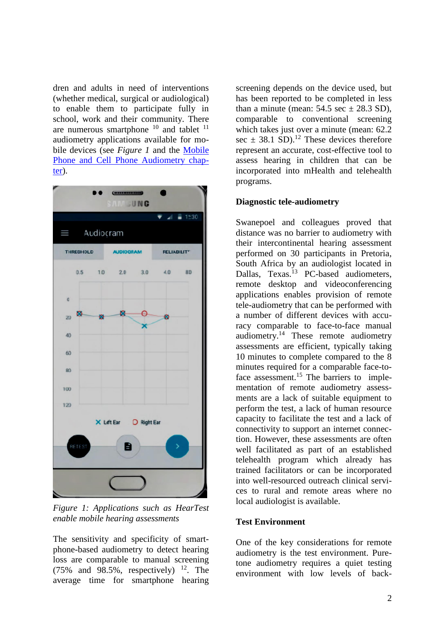dren and adults in need of interventions (whether medical, surgical or audiological) to enable them to participate fully in school, work and their community. There are numerous smartphone  $10$  and tablet  $11$ audiometry applications available for mobile devices (see *Figure 1* and the [Mobile](https://vula.uct.ac.za/access/content/group/27b5cb1b-1b65-4280-9437-a9898ddd4c40/Mobile%20phone%20and%20Cell%20phone%20audiometry.pdf)  [Phone and Cell Phone Audiometry chap](https://vula.uct.ac.za/access/content/group/27b5cb1b-1b65-4280-9437-a9898ddd4c40/Mobile%20phone%20and%20Cell%20phone%20audiometry.pdf)[ter\)](https://vula.uct.ac.za/access/content/group/27b5cb1b-1b65-4280-9437-a9898ddd4c40/Mobile%20phone%20and%20Cell%20phone%20audiometry.pdf).



*Figure 1: Applications such as HearTest enable mobile hearing assessments*

The sensitivity and specificity of smartphone-based audiometry to detect hearing loss are comparable to manual screening  $(75\%$  and  $98.5\%$ , respectively) <sup>12</sup>. The average time for smartphone hearing

screening depends on the device used, but has been reported to be completed in less than a minute (mean:  $54.5 \text{ sec} \pm 28.3 \text{ SD}$ ), comparable to conventional screening which takes just over a minute (mean: 62.2) sec  $\pm$  38.1 SD).<sup>12</sup> These devices therefore represent an accurate, cost-effective tool to assess hearing in children that can be incorporated into mHealth and telehealth programs.

#### **Diagnostic tele-audiometry**

Swanepoel and colleagues proved that distance was no barrier to audiometry with their intercontinental hearing assessment performed on 30 participants in Pretoria, South Africa by an audiologist located in Dallas, Texas.<sup>13</sup> PC-based audiometers, remote desktop and videoconferencing applications enables provision of remote tele-audiometry that can be performed with a number of different devices with accuracy comparable to face-to-face manual audiometry.<sup>14</sup> These remote audiometry assessments are efficient, typically taking 10 minutes to complete compared to the 8 minutes required for a comparable face-toface assessment.<sup>15</sup> The barriers to implementation of remote audiometry assessments are a lack of suitable equipment to perform the test, a lack of human resource capacity to facilitate the test and a lack of connectivity to support an internet connection. However, these assessments are often well facilitated as part of an established telehealth program which already has trained facilitators or can be incorporated into well-resourced outreach clinical services to rural and remote areas where no local audiologist is available.

#### **Test Environment**

One of the key considerations for remote audiometry is the test environment. Puretone audiometry requires a quiet testing environment with low levels of back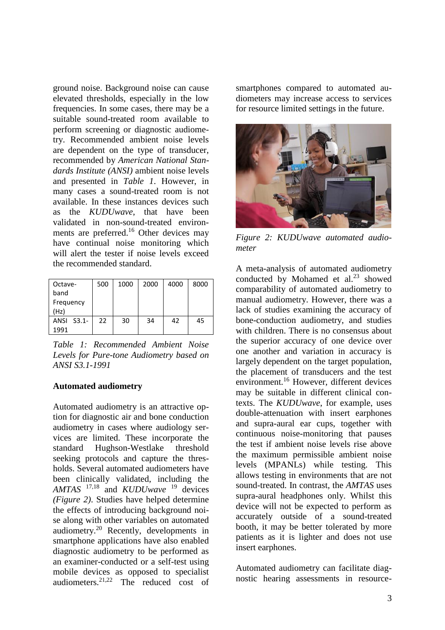ground noise. Background noise can cause elevated thresholds, especially in the low frequencies. In some cases, there may be a suitable sound-treated room available to perform screening or diagnostic audiometry. Recommended ambient noise levels are dependent on the type of transducer, recommended by *American National Standards Institute (ANSI)* ambient noise levels and presented in *Table 1*. However, in many cases a sound-treated room is not available. In these instances devices such as the *KUDUwave*, that have been validated in non-sound-treated environments are preferred.<sup>16</sup> Other devices may have continual noise monitoring which will alert the tester if noise levels exceed the recommended standard.

| Octave-    | 500 | 1000 | 2000 | 4000 | 8000 |
|------------|-----|------|------|------|------|
| band       |     |      |      |      |      |
| Frequency  |     |      |      |      |      |
| (Hz)       |     |      |      |      |      |
| ANSI S3.1- | 22  | 30   | 34   | 42   | 45   |
| 1991       |     |      |      |      |      |

*Table 1: Recommended Ambient Noise Levels for Pure-tone Audiometry based on ANSI S3.1-1991*

#### **Automated audiometry**

Automated audiometry is an attractive option for diagnostic air and bone conduction audiometry in cases where audiology services are limited. These incorporate the standard Hughson-Westlake threshold seeking protocols and capture the thresholds. Several automated audiometers have been clinically validated, including the *AMTAS* 17,18 and *KUDUwave* <sup>19</sup> devices *(Figure 2)*. Studies have helped determine the effects of introducing background noise along with other variables on automated audiometry.<sup>20</sup> Recently, developments in smartphone applications have also enabled diagnostic audiometry to be performed as an examiner-conducted or a self-test using mobile devices as opposed to specialist audiometers.<sup>21,22</sup> The reduced cost of

smartphones compared to automated audiometers may increase access to services for resource limited settings in the future.



*Figure 2: KUDUwave automated audiometer*

A meta-analysis of automated audiometry conducted by Mohamed et al.<sup>23</sup> showed comparability of automated audiometry to manual audiometry. However, there was a lack of studies examining the accuracy of bone-conduction audiometry, and studies with children. There is no consensus about the superior accuracy of one device over one another and variation in accuracy is largely dependent on the target population, the placement of transducers and the test environment.<sup>16</sup> However, different devices may be suitable in different clinical contexts. The *KUDUwave*, for example, uses double-attenuation with insert earphones and supra-aural ear cups, together with continuous noise-monitoring that pauses the test if ambient noise levels rise above the maximum permissible ambient noise levels (MPANLs) while testing. This allows testing in environments that are not sound-treated. In contrast, the *AMTAS* uses supra-aural headphones only. Whilst this device will not be expected to perform as accurately outside of a sound-treated booth, it may be better tolerated by more patients as it is lighter and does not use insert earphones.

Automated audiometry can facilitate diagnostic hearing assessments in resource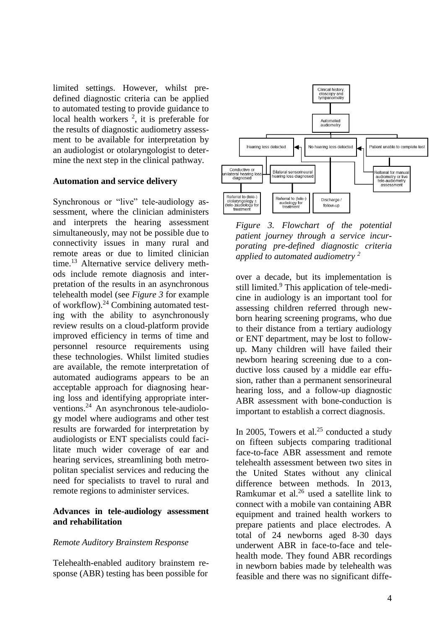limited settings. However, whilst predefined diagnostic criteria can be applied to automated testing to provide guidance to local health workers  $2$ , it is preferable for the results of diagnostic audiometry assessment to be available for interpretation by an audiologist or otolaryngologist to determine the next step in the clinical pathway.

#### **Automation and service delivery**

Synchronous or "live" tele-audiology assessment, where the clinician administers and interprets the hearing assessment simultaneously, may not be possible due to connectivity issues in many rural and remote areas or due to limited clinician time.<sup>13</sup> Alternative service delivery methods include remote diagnosis and interpretation of the results in an asynchronous telehealth model (see *Figure 3* for example of workflow).<sup>24</sup> Combining automated testing with the ability to asynchronously review results on a cloud-platform provide improved efficiency in terms of time and personnel resource requirements using these technologies. Whilst limited studies are available, the remote interpretation of automated audiograms appears to be an acceptable approach for diagnosing hearing loss and identifying appropriate interventions.<sup>24</sup> An asynchronous tele-audiology model where audiograms and other test results are forwarded for interpretation by audiologists or ENT specialists could facilitate much wider coverage of ear and hearing services, streamlining both metropolitan specialist services and reducing the need for specialists to travel to rural and remote regions to administer services.

#### **Advances in tele-audiology assessment and rehabilitation**

#### *Remote Auditory Brainstem Response*

Telehealth-enabled auditory brainstem response (ABR) testing has been possible for



*Figure 3. Flowchart of the potential patient journey through a service incurporating pre-defined diagnostic criteria applied to automated audiometry <sup>2</sup>*

over a decade, but its implementation is still limited.<sup>9</sup> This application of tele-medicine in audiology is an important tool for assessing children referred through newborn hearing screening programs, who due to their distance from a tertiary audiology or ENT department, may be lost to followup. Many children will have failed their newborn hearing screening due to a conductive loss caused by a middle ear effusion, rather than a permanent sensorineural hearing loss, and a follow-up diagnostic ABR assessment with bone-conduction is important to establish a correct diagnosis.

In 2005, Towers et al. $25$  conducted a study on fifteen subjects comparing traditional face-to-face ABR assessment and remote telehealth assessment between two sites in the United States without any clinical difference between methods. In 2013, Ramkumar et al.<sup>26</sup> used a satellite link to connect with a mobile van containing ABR equipment and trained health workers to prepare patients and place electrodes. A total of 24 newborns aged 8-30 days underwent ABR in face-to-face and telehealth mode. They found ABR recordings in newborn babies made by telehealth was feasible and there was no significant diffe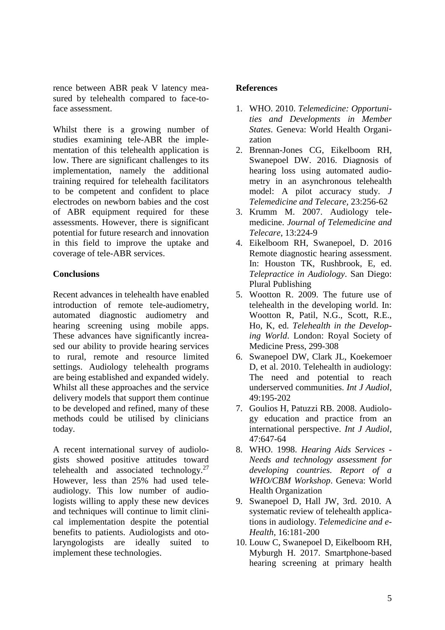rence between ABR peak V latency measured by telehealth compared to face-toface assessment.

Whilst there is a growing number of studies examining tele-ABR the implementation of this telehealth application is low. There are significant challenges to its implementation, namely the additional training required for telehealth facilitators to be competent and confident to place electrodes on newborn babies and the cost of ABR equipment required for these assessments. However, there is significant potential for future research and innovation in this field to improve the uptake and coverage of tele-ABR services.

## **Conclusions**

Recent advances in telehealth have enabled introduction of remote tele-audiometry, automated diagnostic audiometry and hearing screening using mobile apps. These advances have significantly increased our ability to provide hearing services to rural, remote and resource limited settings. Audiology telehealth programs are being established and expanded widely. Whilst all these approaches and the service delivery models that support them continue to be developed and refined, many of these methods could be utilised by clinicians today.

A recent international survey of audiologists showed positive attitudes toward telehealth and associated technology. $27$ However, less than 25% had used teleaudiology. This low number of audiologists willing to apply these new devices and techniques will continue to limit clinical implementation despite the potential benefits to patients. Audiologists and otolaryngologists are ideally suited to implement these technologies.

## **References**

- 1. WHO. 2010. *Telemedicine: Opportunities and Developments in Member States*. Geneva: World Health Organization
- 2. Brennan-Jones CG, Eikelboom RH, Swanepoel DW. 2016. Diagnosis of hearing loss using automated audiometry in an asynchronous telehealth model: A pilot accuracy study. *J Telemedicine and Telecare,* 23:256-62
- 3. Krumm M. 2007. Audiology telemedicine. *Journal of Telemedicine and Telecare*, 13:224-9
- 4. Eikelboom RH, Swanepoel, D. 2016 Remote diagnostic hearing assessment. In: Houston TK, Rushbrook, E, ed. *Telepractice in Audiology*. San Diego: Plural Publishing
- 5. Wootton R. 2009. The future use of telehealth in the developing world. In: Wootton R, Patil, N.G., Scott, R.E., Ho, K, ed. *Telehealth in the Developing World*. London: Royal Society of Medicine Press, 299-308
- 6. Swanepoel DW, Clark JL, Koekemoer D, et al. 2010. Telehealth in audiology: The need and potential to reach underserved communities. *Int J Audiol*, 49:195-202
- 7. Goulios H, Patuzzi RB. 2008. Audiology education and practice from an international perspective. *Int J Audiol*, 47:647-64
- 8. WHO. 1998. *Hearing Aids Services - Needs and technology assessment for developing countries. Report of a WHO/CBM Workshop*. Geneva: World Health Organization
- 9. Swanepoel D, Hall JW, 3rd. 2010. A systematic review of telehealth applications in audiology. *Telemedicine and e-Health*, 16:181-200
- 10. Louw C, Swanepoel D, Eikelboom RH, Myburgh H. 2017. Smartphone-based hearing screening at primary health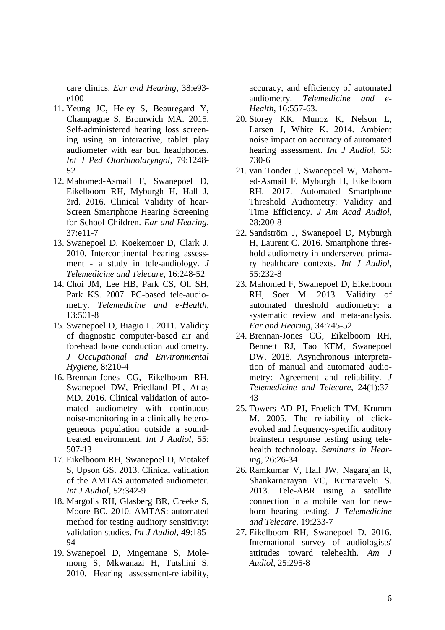care clinics. *Ear and Hearing*, 38:e93 e100

- 11. Yeung JC, Heley S, Beauregard Y, Champagne S, Bromwich MA. 2015. Self-administered hearing loss screening using an interactive, tablet play audiometer with ear bud headphones. *Int J Ped Otorhinolaryngol,* 79:1248- 52
- 12. Mahomed-Asmail F, Swanepoel D, Eikelboom RH, Myburgh H, Hall J, 3rd. 2016. Clinical Validity of hear-Screen Smartphone Hearing Screening for School Children. *Ear and Hearing*, 37:e11-7
- 13. Swanepoel D, Koekemoer D, Clark J. 2010. Intercontinental hearing assessment - a study in tele-audiology. *J Telemedicine and Telecare*, 16:248-52
- 14. Choi JM, Lee HB, Park CS, Oh SH, Park KS. 2007. PC-based tele-audiometry. *Telemedicine and e-Health,*  13:501-8
- 15. Swanepoel D, Biagio L. 2011. Validity of diagnostic computer-based air and forehead bone conduction audiometry. *J Occupational and Environmental Hygiene*, 8:210-4
- 16. Brennan-Jones CG, Eikelboom RH, Swanepoel DW, Friedland PL, Atlas MD. 2016. Clinical validation of automated audiometry with continuous noise-monitoring in a clinically heterogeneous population outside a soundtreated environment. *Int J Audiol*, 55: 507-13
- 17. Eikelboom RH, Swanepoel D, Motakef S, Upson GS. 2013. Clinical validation of the AMTAS automated audiometer. *Int J Audiol*, 52:342-9
- 18. Margolis RH, Glasberg BR, Creeke S, Moore BC. 2010. AMTAS: automated method for testing auditory sensitivity: validation studies. *Int J Audiol*, 49:185- 94
- 19. Swanepoel D, Mngemane S, Molemong S, Mkwanazi H, Tutshini S. 2010. Hearing assessment-reliability,

accuracy, and efficiency of automated audiometry. *Telemedicine and e-Health*, 16:557-63.

- 20. Storey KK, Munoz K, Nelson L, Larsen J, White K. 2014. Ambient noise impact on accuracy of automated hearing assessment. *Int J Audiol*, 53: 730-6
- 21. van Tonder J, Swanepoel W, Mahomed-Asmail F, Myburgh H, Eikelboom RH. 2017. Automated Smartphone Threshold Audiometry: Validity and Time Efficiency. *J Am Acad Audiol*, 28:200-8
- 22. Sandström J, Swanepoel D, Myburgh H, Laurent C. 2016. Smartphone threshold audiometry in underserved primary healthcare contexts*. Int J Audiol*, 55:232-8
- 23. Mahomed F, Swanepoel D, Eikelboom RH, Soer M. 2013. Validity of automated threshold audiometry: a systematic review and meta-analysis. *Ear and Hearing*, 34:745-52
- 24. Brennan-Jones CG, Eikelboom RH, Bennett RJ, Tao KFM, Swanepoel DW. 2018. Asynchronous interpretation of manual and automated audiometry: Agreement and reliability. *J Telemedicine and Telecare*, 24(1):37- 43
- 25. Towers AD PJ, Froelich TM, Krumm M. 2005. The reliability of clickevoked and frequency-specific auditory brainstem response testing using telehealth technology. *Seminars in Hearing,* 26:26-34
- 26. Ramkumar V, Hall JW, Nagarajan R, Shankarnarayan VC, Kumaravelu S. 2013. Tele-ABR using a satellite connection in a mobile van for newborn hearing testing. *J Telemedicine and Telecare,* 19:233-7
- 27. Eikelboom RH, Swanepoel D. 2016. International survey of audiologists' attitudes toward telehealth. *Am J Audiol*, 25:295-8